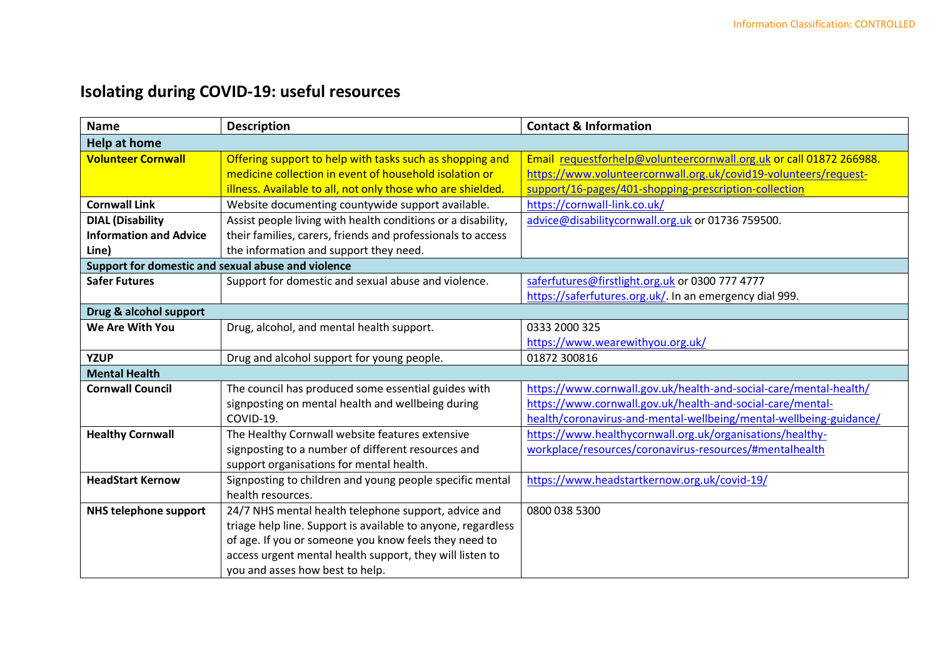## **Isolating during COVID-19: useful resources**

| <b>Name</b>                                        | <b>Description</b>                                           | <b>Contact &amp; Information</b>                                    |  |  |
|----------------------------------------------------|--------------------------------------------------------------|---------------------------------------------------------------------|--|--|
| <b>Help at home</b>                                |                                                              |                                                                     |  |  |
| <b>Volunteer Cornwall</b>                          | Offering support to help with tasks such as shopping and     | Email requestforhelp@volunteercornwall.org.uk or call 01872 266988. |  |  |
|                                                    | medicine collection in event of household isolation or       | https://www.volunteercornwall.org.uk/covid19-volunteers/request-    |  |  |
|                                                    | illness. Available to all, not only those who are shielded.  | support/16-pages/401-shopping-prescription-collection               |  |  |
| <b>Cornwall Link</b>                               | Website documenting countywide support available.            | https://cornwall-link.co.uk/                                        |  |  |
| <b>DIAL (Disability</b>                            | Assist people living with health conditions or a disability, | advice@disabilitycornwall.org.uk or 01736 759500.                   |  |  |
| <b>Information and Advice</b>                      | their families, carers, friends and professionals to access  |                                                                     |  |  |
| Line)                                              | the information and support they need.                       |                                                                     |  |  |
| Support for domestic and sexual abuse and violence |                                                              |                                                                     |  |  |
| <b>Safer Futures</b>                               | Support for domestic and sexual abuse and violence.          | saferfutures@firstlight.org.uk or 0300 777 4777                     |  |  |
|                                                    |                                                              | https://saferfutures.org.uk/. In an emergency dial 999.             |  |  |
| Drug & alcohol support                             |                                                              |                                                                     |  |  |
| We Are With You                                    | Drug, alcohol, and mental health support.                    | 0333 2000 325                                                       |  |  |
|                                                    |                                                              | https://www.wearewithyou.org.uk/                                    |  |  |
| <b>YZUP</b>                                        | Drug and alcohol support for young people.                   | 01872 300816                                                        |  |  |
| <b>Mental Health</b>                               |                                                              |                                                                     |  |  |
| <b>Cornwall Council</b>                            | The council has produced some essential guides with          | https://www.cornwall.gov.uk/health-and-social-care/mental-health/   |  |  |
|                                                    | signposting on mental health and wellbeing during            | https://www.cornwall.gov.uk/health-and-social-care/mental-          |  |  |
|                                                    | COVID-19.                                                    | health/coronavirus-and-mental-wellbeing/mental-wellbeing-guidance/  |  |  |
| <b>Healthy Cornwall</b>                            | The Healthy Cornwall website features extensive              | https://www.healthycornwall.org.uk/organisations/healthy-           |  |  |
|                                                    | signposting to a number of different resources and           | workplace/resources/coronavirus-resources/#mentalhealth             |  |  |
|                                                    | support organisations for mental health.                     |                                                                     |  |  |
| <b>HeadStart Kernow</b>                            | Signposting to children and young people specific mental     | https://www.headstartkernow.org.uk/covid-19/                        |  |  |
|                                                    | health resources.                                            |                                                                     |  |  |
| NHS telephone support                              | 24/7 NHS mental health telephone support, advice and         | 0800 038 5300                                                       |  |  |
|                                                    | triage help line. Support is available to anyone, regardless |                                                                     |  |  |
|                                                    | of age. If you or someone you know feels they need to        |                                                                     |  |  |
|                                                    | access urgent mental health support, they will listen to     |                                                                     |  |  |
|                                                    | you and asses how best to help.                              |                                                                     |  |  |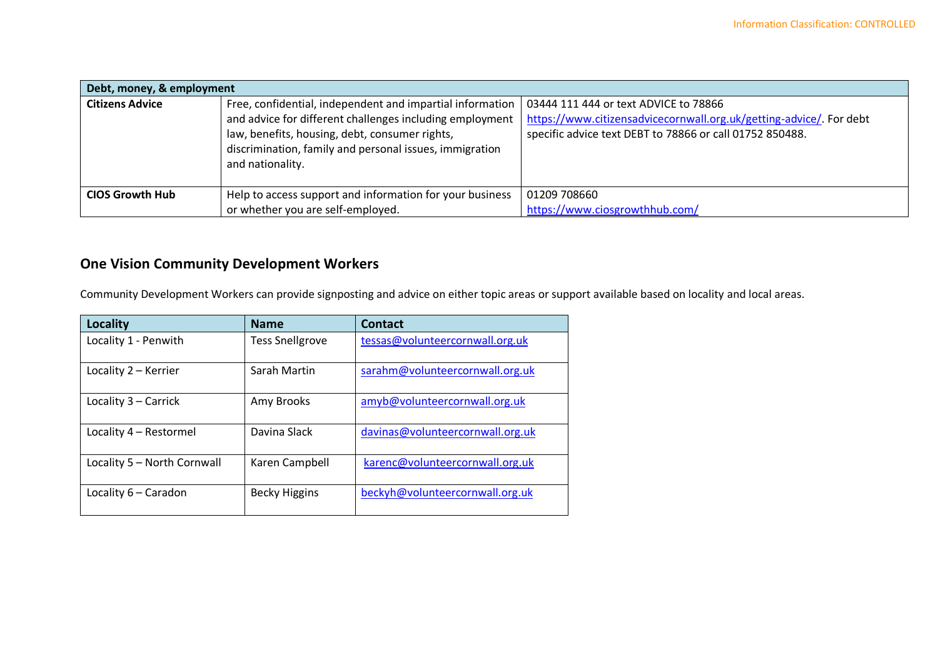| Debt, money, & employment |                                                                                                                                                                                                                                                        |                                                                                                                                                                          |  |  |  |
|---------------------------|--------------------------------------------------------------------------------------------------------------------------------------------------------------------------------------------------------------------------------------------------------|--------------------------------------------------------------------------------------------------------------------------------------------------------------------------|--|--|--|
| <b>Citizens Advice</b>    | Free, confidential, independent and impartial information<br>and advice for different challenges including employment<br>law, benefits, housing, debt, consumer rights,<br>discrimination, family and personal issues, immigration<br>and nationality. | 03444 111 444 or text ADVICE to 78866<br>https://www.citizensadvicecornwall.org.uk/getting-advice/. For debt<br>specific advice text DEBT to 78866 or call 01752 850488. |  |  |  |
| <b>CIOS Growth Hub</b>    | Help to access support and information for your business<br>or whether you are self-employed.                                                                                                                                                          | 01209 708660<br>https://www.ciosgrowthhub.com/                                                                                                                           |  |  |  |

## **One Vision Community Development Workers**

Community Development Workers can provide signposting and advice on either topic areas or support available based on locality and local areas.

| Locality                    | <b>Name</b>            | Contact                          |
|-----------------------------|------------------------|----------------------------------|
| Locality 1 - Penwith        | <b>Tess Snellgrove</b> | tessas@volunteercornwall.org.uk  |
| Locality 2 - Kerrier        | Sarah Martin           | sarahm@volunteercornwall.org.uk  |
| Locality 3 - Carrick        | Amy Brooks             | amyb@volunteercornwall.org.uk    |
| Locality 4 - Restormel      | Davina Slack           | davinas@volunteercornwall.org.uk |
| Locality 5 - North Cornwall | Karen Campbell         | karenc@volunteercornwall.org.uk  |
| Locality 6 - Caradon        | <b>Becky Higgins</b>   | beckyh@volunteercornwall.org.uk  |